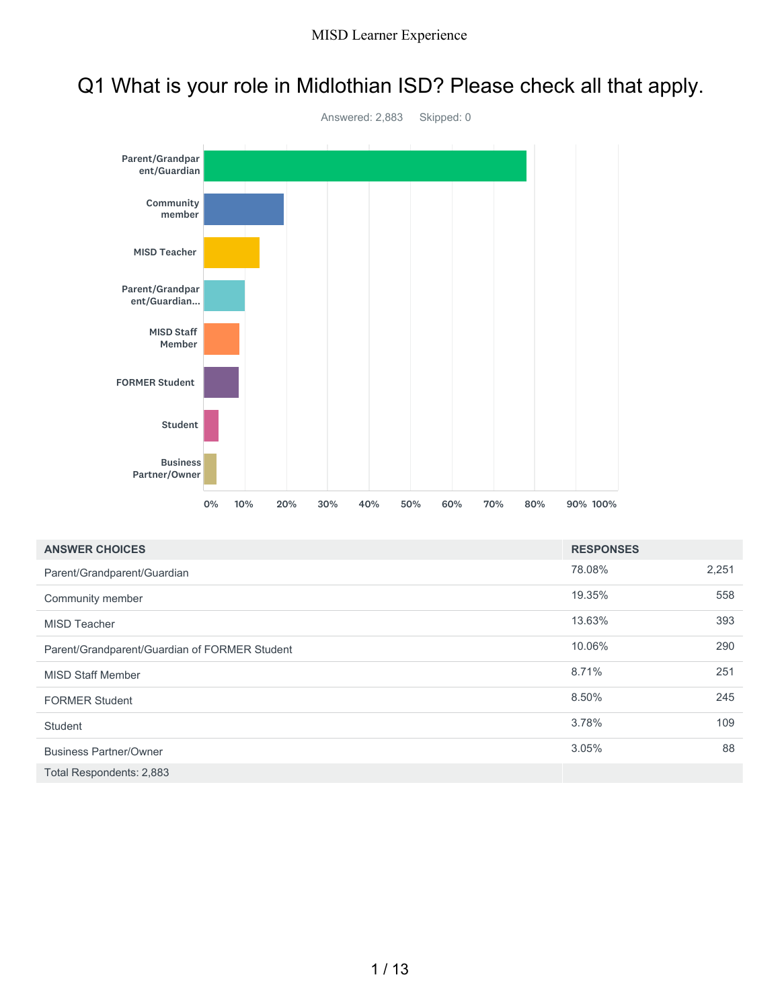# Q1 What is your role in Midlothian ISD? Please check all that apply.



| <b>ANSWER CHOICES</b>                         | <b>RESPONSES</b> |       |
|-----------------------------------------------|------------------|-------|
| Parent/Grandparent/Guardian                   | 78.08%           | 2,251 |
| Community member                              | 19.35%           | 558   |
| <b>MISD Teacher</b>                           | 13.63%           | 393   |
| Parent/Grandparent/Guardian of FORMER Student | 10.06%           | 290   |
| <b>MISD Staff Member</b>                      | 8.71%            | 251   |
| <b>FORMER Student</b>                         | 8.50%            | 245   |
| Student                                       | 3.78%            | 109   |
| <b>Business Partner/Owner</b>                 | 3.05%            | 88    |
| Total Respondents: 2,883                      |                  |       |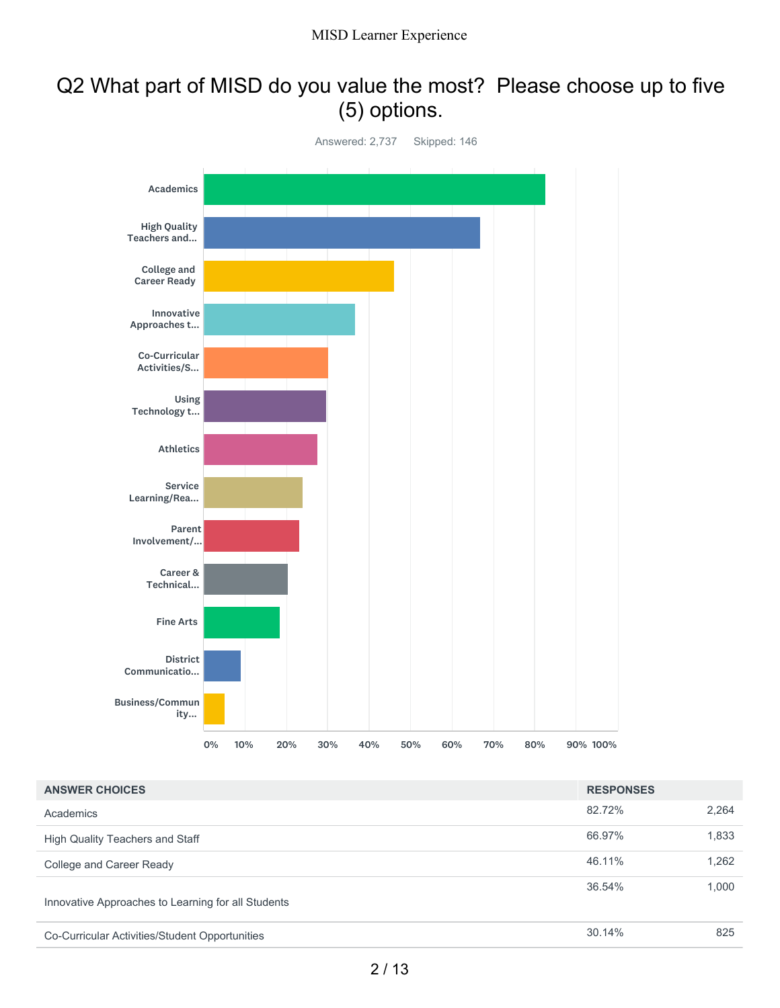# Q2 What part of MISD do you value the most? Please choose up to five (5) options.



| <b>ANSWER CHOICES</b>                              | <b>RESPONSES</b> |       |
|----------------------------------------------------|------------------|-------|
| Academics                                          | 82.72%           | 2,264 |
| High Quality Teachers and Staff                    | 66.97%           | 1,833 |
| College and Career Ready                           | 46.11%           | 1,262 |
| Innovative Approaches to Learning for all Students | 36.54%           | 1,000 |
| Co-Curricular Activities/Student Opportunities     | 30.14%           | 825   |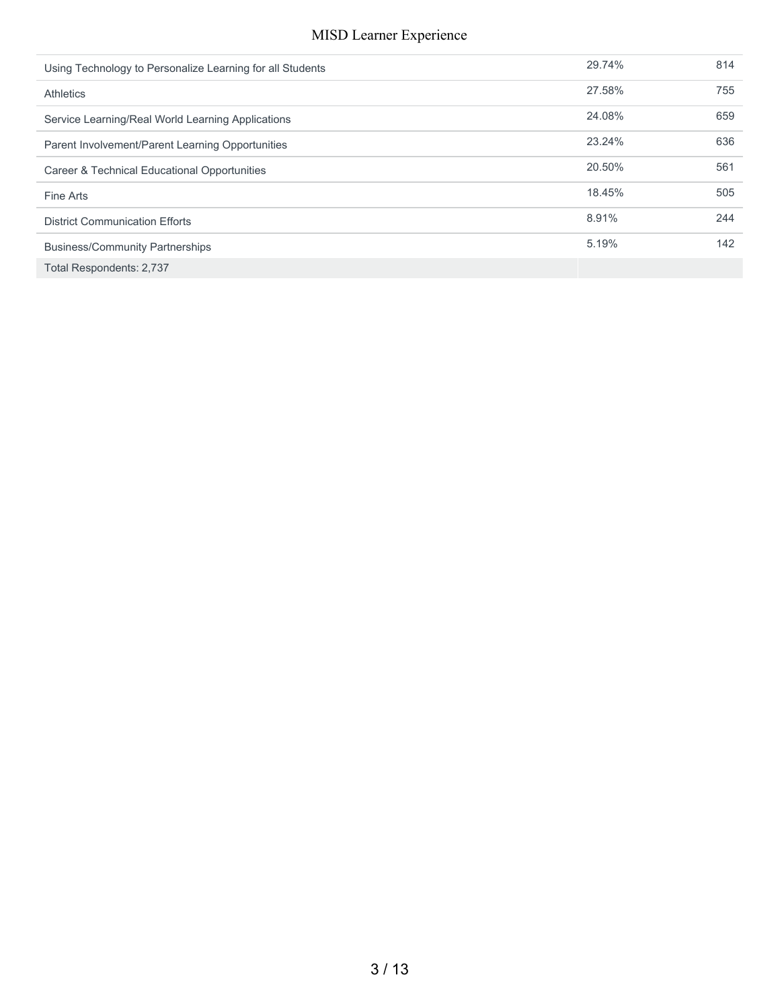| Using Technology to Personalize Learning for all Students | 29.74% | 814 |
|-----------------------------------------------------------|--------|-----|
| <b>Athletics</b>                                          | 27.58% | 755 |
| Service Learning/Real World Learning Applications         | 24.08% | 659 |
| Parent Involvement/Parent Learning Opportunities          | 23.24% | 636 |
| Career & Technical Educational Opportunities              | 20.50% | 561 |
| Fine Arts                                                 | 18.45% | 505 |
| <b>District Communication Efforts</b>                     | 8.91%  | 244 |
| <b>Business/Community Partnerships</b>                    | 5.19%  | 142 |
| Total Respondents: 2,737                                  |        |     |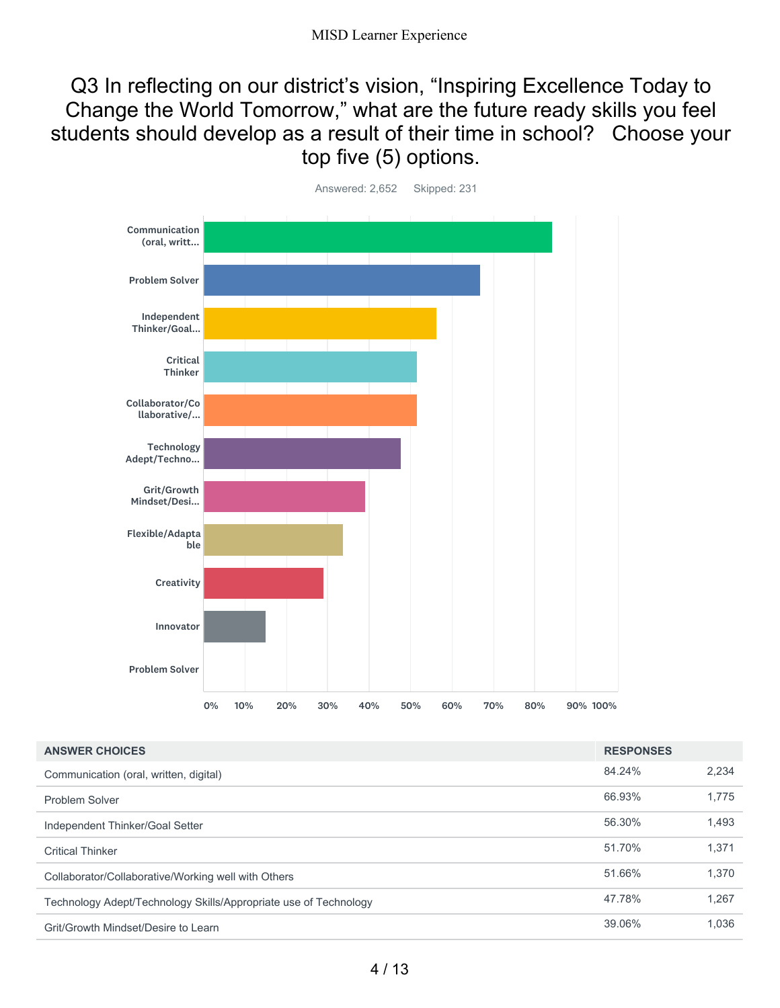Q3 In reflecting on our district's vision, "Inspiring Excellence Today to Change the World Tomorrow," what are the future ready skills you feel students should develop as a result of their time in school? Choose your top five (5) options.



| <b>ANSWER CHOICES</b>                                            | <b>RESPONSES</b> |       |
|------------------------------------------------------------------|------------------|-------|
| Communication (oral, written, digital)                           | 84.24%           | 2.234 |
| Problem Solver                                                   | 66.93%           | 1.775 |
| Independent Thinker/Goal Setter                                  | 56.30%           | 1,493 |
| <b>Critical Thinker</b>                                          | 51.70%           | 1,371 |
| Collaborator/Collaborative/Working well with Others              | 51.66%           | 1,370 |
| Technology Adept/Technology Skills/Appropriate use of Technology | 47.78%           | 1.267 |
| Grit/Growth Mindset/Desire to Learn                              | 39.06%           | 1.036 |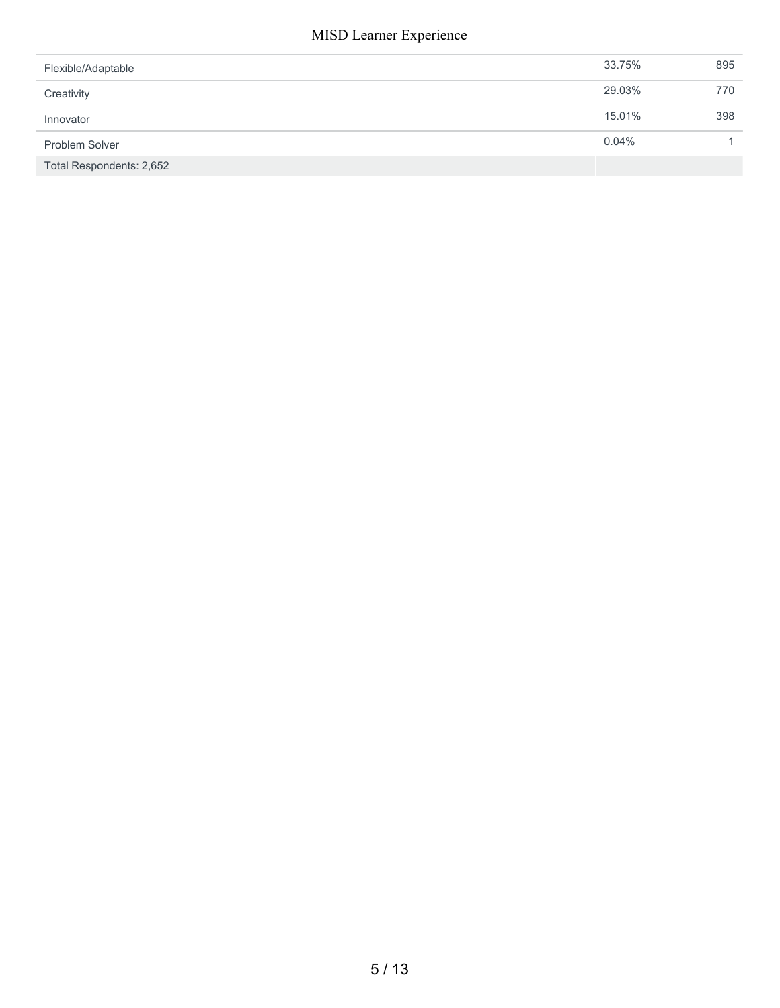| Flexible/Adaptable       | 33.75% | 895 |
|--------------------------|--------|-----|
| Creativity               | 29.03% | 770 |
| Innovator                | 15.01% | 398 |
| Problem Solver           | 0.04%  |     |
| Total Respondents: 2,652 |        |     |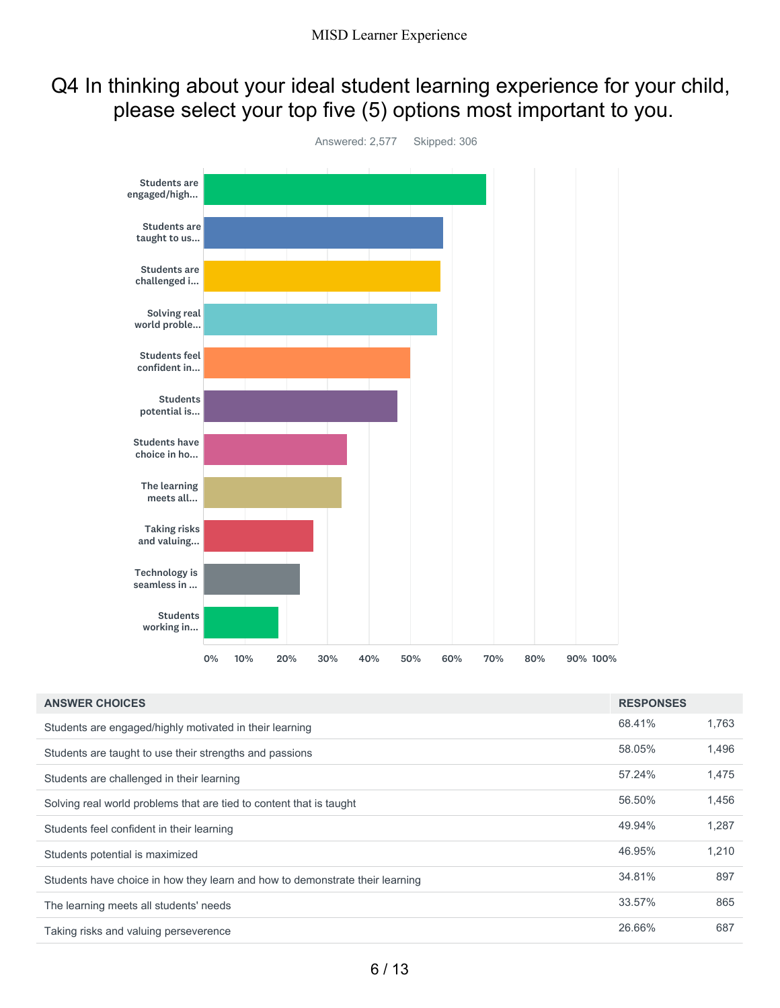# Q4 In thinking about your ideal student learning experience for your child, please select your top five (5) options most important to you.



| <b>ANSWER CHOICES</b>                                                        | <b>RESPONSES</b> |       |
|------------------------------------------------------------------------------|------------------|-------|
| Students are engaged/highly motivated in their learning                      | 68.41%           | 1,763 |
| Students are taught to use their strengths and passions                      | 58.05%           | 1,496 |
| Students are challenged in their learning                                    | 57.24%           | 1,475 |
| Solving real world problems that are tied to content that is taught          | 56.50%           | 1,456 |
| Students feel confident in their learning                                    | 49.94%           | 1,287 |
| Students potential is maximized                                              | 46.95%           | 1,210 |
| Students have choice in how they learn and how to demonstrate their learning | 34.81%           | 897   |
| The learning meets all students' needs                                       | 33.57%           | 865   |
| Taking risks and valuing perseverence                                        | 26.66%           | 687   |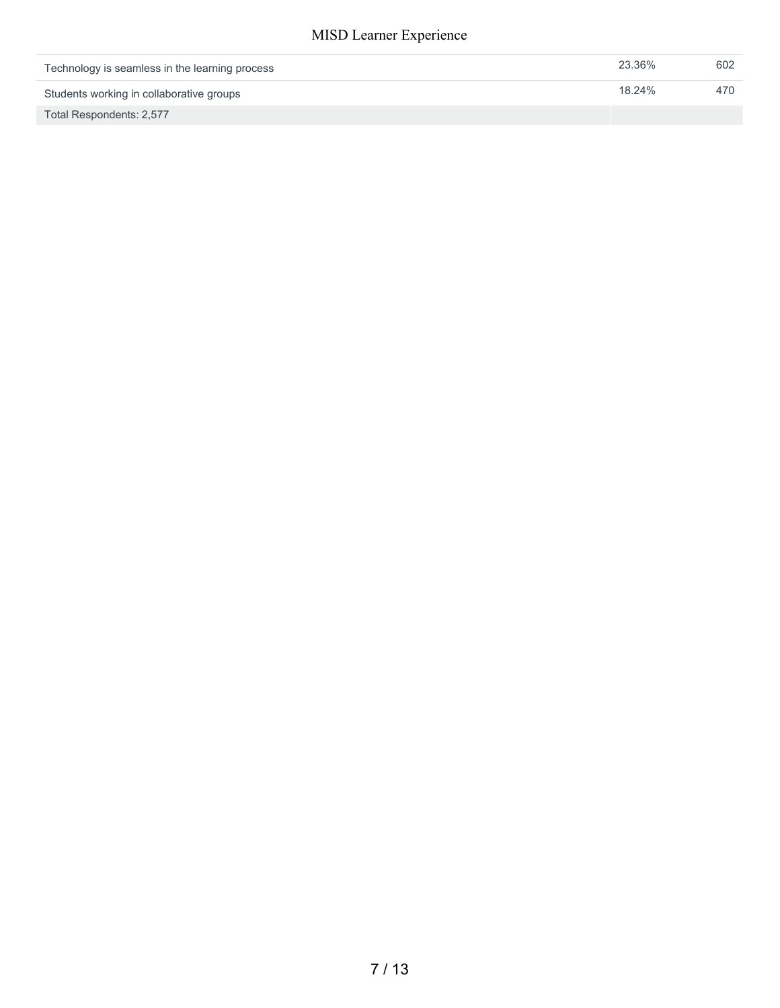| Technology is seamless in the learning process | 23.36% | 602 |
|------------------------------------------------|--------|-----|
| Students working in collaborative groups       | 18.24% | 470 |
| Total Respondents: 2,577                       |        |     |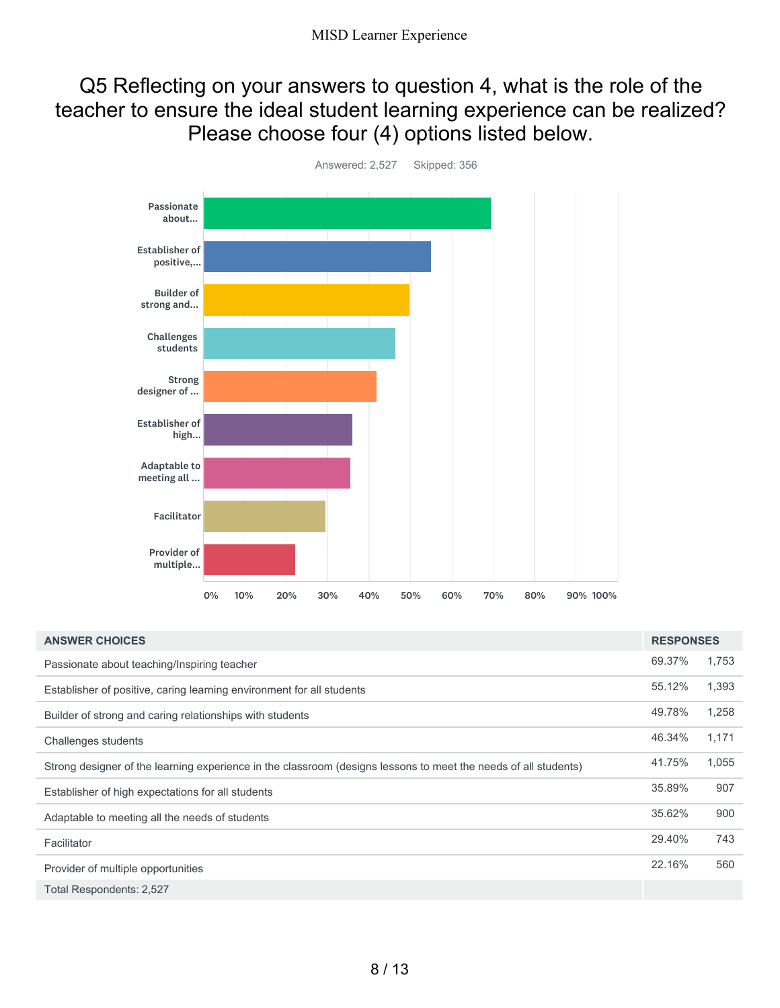### Q5 Reflecting on your answers to question 4, what is the role of the teacher to ensure the ideal student learning experience can be realized? Please choose four (4) options listed below.



69.37% 1,753 55.12% 1,393 49.78% 1,258 46.34% 1,171 41.75% 1,055 35.89% 907 35.62% 900 29.40% 743 22.16% 560 Total Respondents: 2,527 **ANSWER CHOICES RESPONSES** Passionate about teaching/Inspiring teacher Establisher of positive, caring learning environment for all students Builder of strong and caring relationships with students Challenges students Strong designer of the learning experience in the classroom (designs lessons to meet the needs of all students) Establisher of high expectations for all students Adaptable to meeting all the needs of students **Facilitator** Provider of multiple opportunities

8 / 13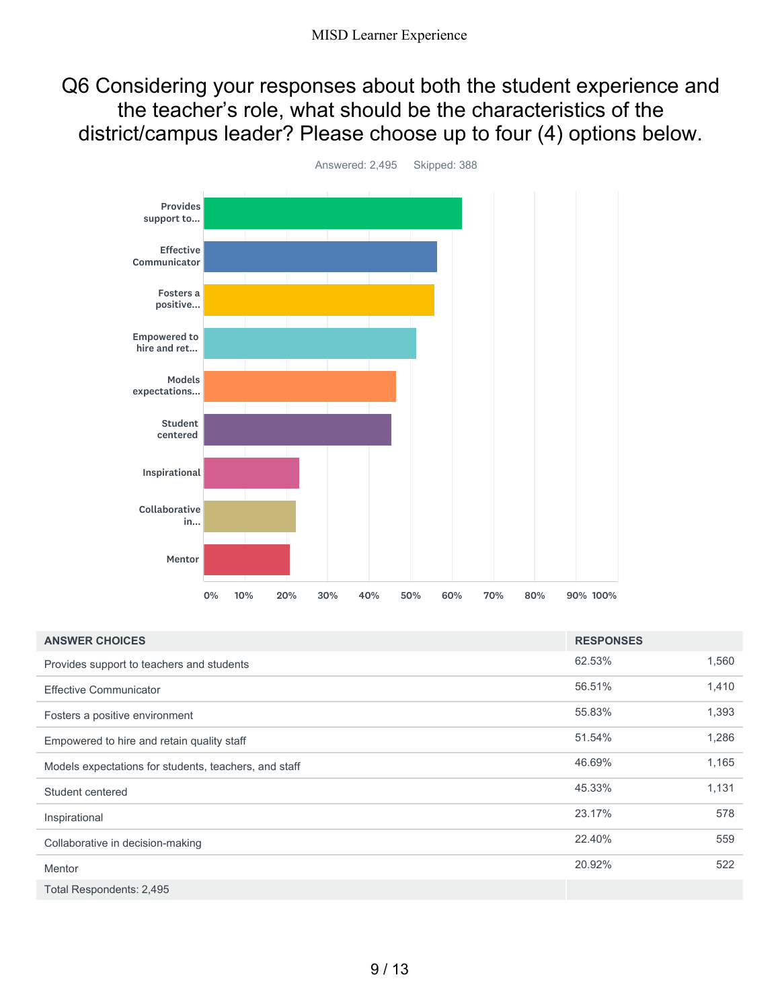Q6 Considering your responses about both the student experience and the teacher's role, what should be the characteristics of the district/campus leader? Please choose up to four (4) options below.



Answered: 2,495 Skipped: 388

| <b>ANSWER CHOICES</b>                                 | <b>RESPONSES</b> |       |
|-------------------------------------------------------|------------------|-------|
| Provides support to teachers and students             | 62.53%           | 1,560 |
| <b>Effective Communicator</b>                         | 56.51%           | 1,410 |
| Fosters a positive environment                        | 55.83%           | 1,393 |
| Empowered to hire and retain quality staff            | 51.54%           | 1,286 |
| Models expectations for students, teachers, and staff | 46.69%           | 1,165 |
| Student centered                                      | 45.33%           | 1,131 |
| Inspirational                                         | 23.17%           | 578   |
| Collaborative in decision-making                      | 22.40%           | 559   |
| <b>Mentor</b>                                         | 20.92%           | 522   |
| Total Respondents: 2,495                              |                  |       |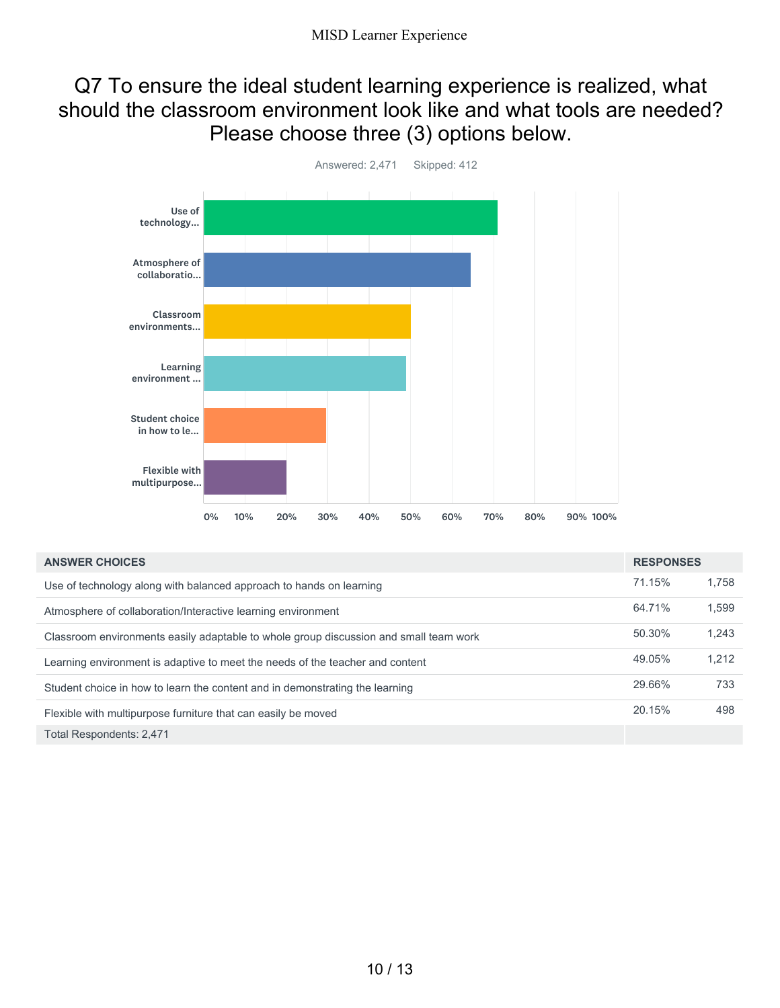### Q7 To ensure the ideal student learning experience is realized, what should the classroom environment look like and what tools are needed? Please choose three (3) options below.



| <b>ANSWER CHOICES</b>                                                                 | <b>RESPONSES</b> |       |
|---------------------------------------------------------------------------------------|------------------|-------|
| Use of technology along with balanced approach to hands on learning                   | 71.15%           | 1.758 |
| Atmosphere of collaboration/Interactive learning environment                          | 64.71%           | 1,599 |
| Classroom environments easily adaptable to whole group discussion and small team work | 50.30%           | 1.243 |
| Learning environment is adaptive to meet the needs of the teacher and content         | 49.05%           | 1.212 |
| Student choice in how to learn the content and in demonstrating the learning          | 29.66%           | 733   |
| Flexible with multipurpose furniture that can easily be moved                         | 20.15%           | 498   |
| Total Respondents: 2,471                                                              |                  |       |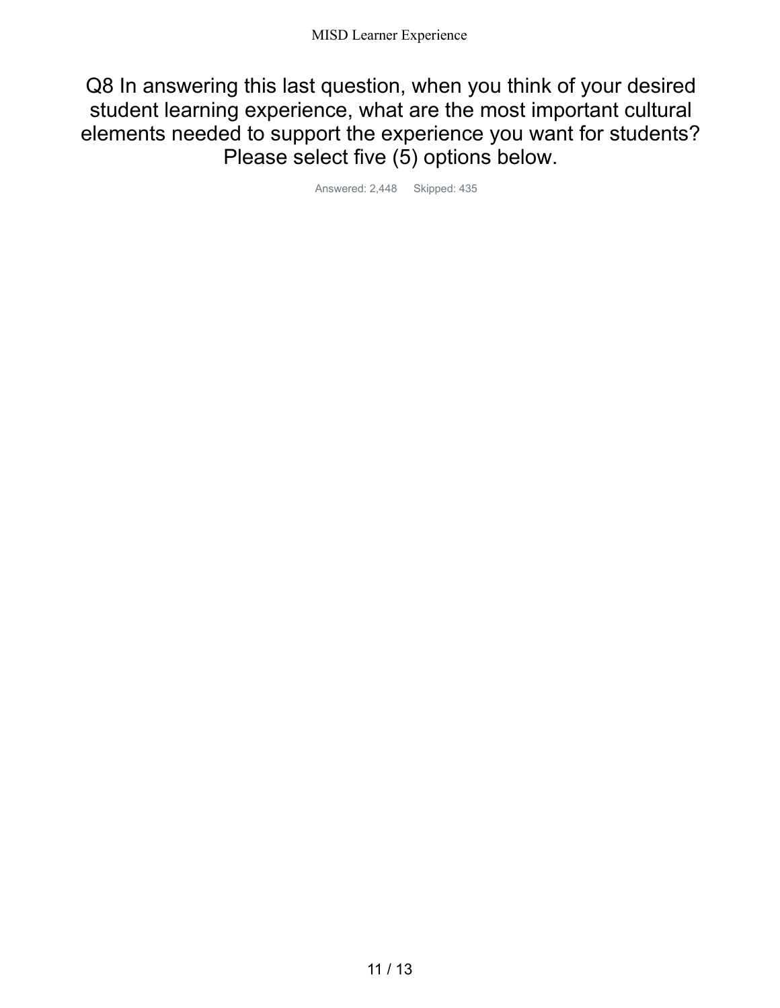Q8 In answering this last question, when you think of your desired student learning experience, what are the most important cultural elements needed to support the experience you want for students? Please select five (5) options below.

Answered: 2,448 Skipped: 435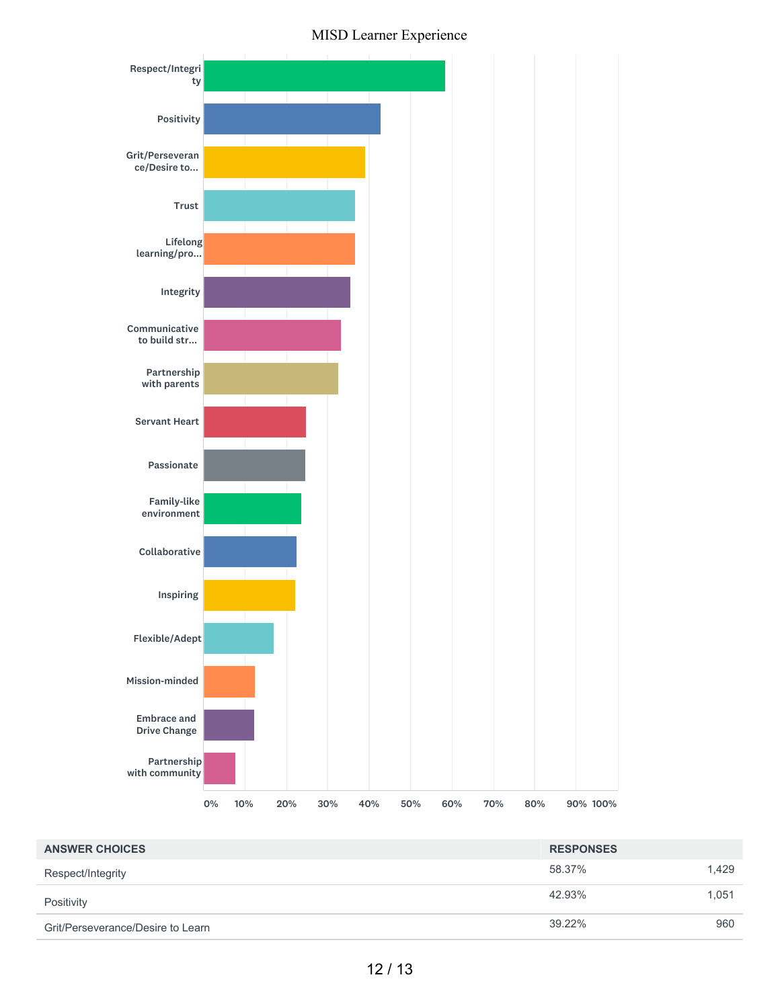



| <b>ANSWER CHOICES</b>             | <b>RESPONSES</b> |       |
|-----------------------------------|------------------|-------|
| Respect/Integrity                 | 58.37%           | 1.429 |
| Positivity                        | 42.93%           | 1.051 |
| Grit/Perseverance/Desire to Learn | 39.22%           | 960   |